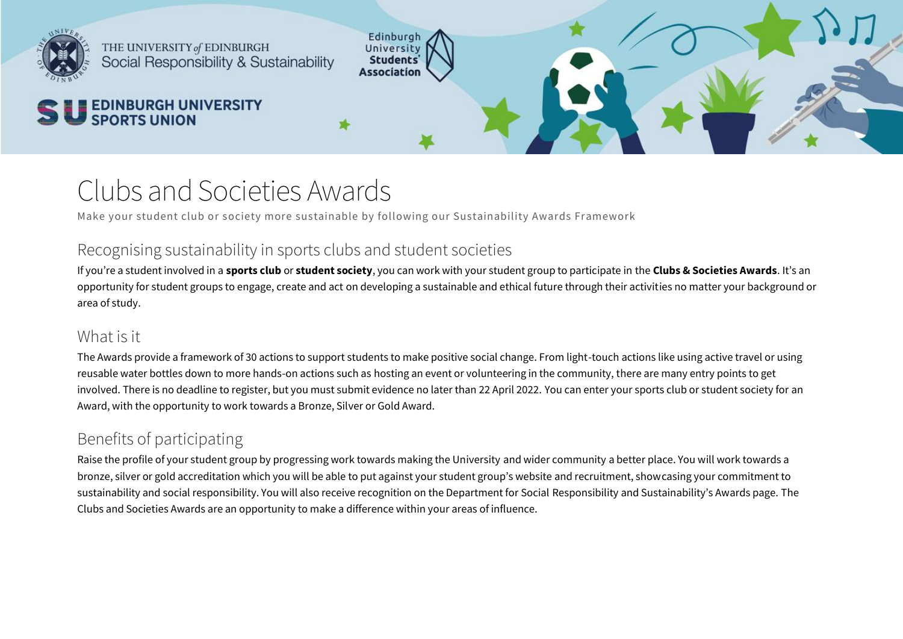

THE UNIVERSITY of EDINBURGH Social Responsibility & Sustainability

# S U **EDINBURGH UNIVERSITY SPORTS UNION**

## Clubs and Societies Awards

Make your student club or society more sustainable by following our Sustainability Awards Framework

Edinburgh~ University **Students' Association** 

## Recognising sustainability in sports clubs and student societies

If you're a student involved in a **sports club** or **student society**, you can work with your student group to participate in the **Clubs & Societies Awards**. It's an opportunity for student groups to engage, create and act on developing a sustainable and ethical future through their activities no matter your background or area of study.

\*

## What is it

The Awards provide a framework of 30 actions to support students to make positive social change. From light-touch actions like using active travel or using reusable water bottles down to more hands-on actions such as hosting an event or volunteering in the community, there are many entry points to get involved. There is no deadline to register, but you must submit evidence no later than 22 April 2022. You can enter your sports club or student society for an Award, with the opportunity to work towards a Bronze, Silver or Gold Award.

## Benefits of participating

Raise the profile of your student group by progressing work towards making the University and wider community a better place. You will work towards a bronze, silver or gold accreditation which you will be able to put against your student group's website and recruitment, showcasing your commitment to sustainability and social responsibility. You will also receive recognition on the Department for Social Responsibility and Sustainability's Awards page. The Clubs and Societies Awards are an opportunity to make a difference within your areas of influence.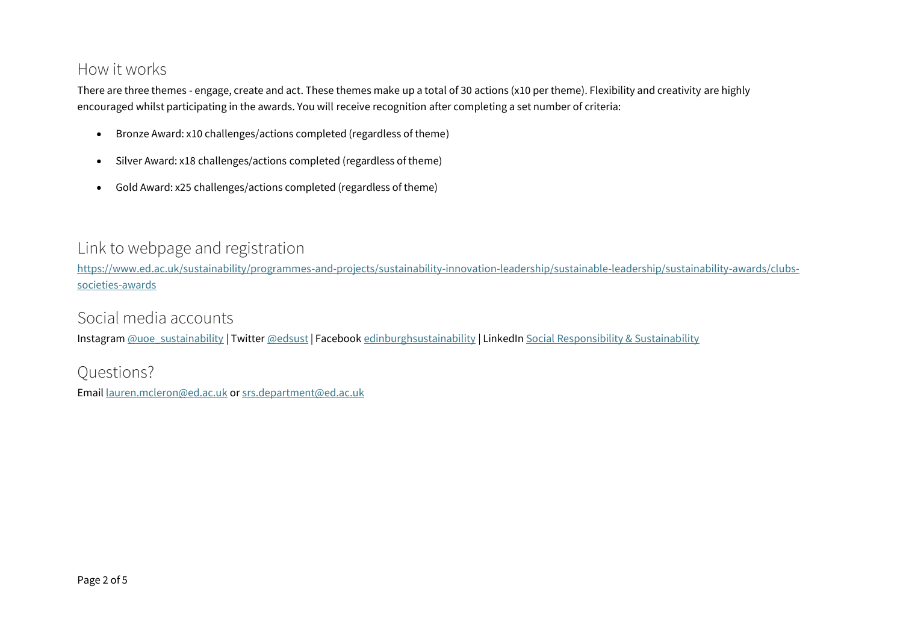#### How it works

There are three themes - engage, create and act. These themes make up a total of 30 actions (x10 per theme). Flexibility and creativity are highly encouraged whilst participating in the awards. You will receive recognition after completing a set number of criteria:

- Bronze Award: x10 challenges/actions completed (regardless of theme)
- Silver Award: x18 challenges/actions completed (regardless of theme)
- Gold Award: x25 challenges/actions completed (regardless of theme)

#### Link to webpage and registration

[https://www.ed.ac.uk/sustainability/programmes-and-projects/sustainability-innovation-leadership/sustainable-leadership/sustainability-awards/clubs](https://www.ed.ac.uk/sustainability/programmes-and-projects/sustainability-innovation-leadership/sustainable-leadership/sustainability-awards/clubs-societies-awards)[societies-awards](https://www.ed.ac.uk/sustainability/programmes-and-projects/sustainability-innovation-leadership/sustainable-leadership/sustainability-awards/clubs-societies-awards)

Social media accounts

Instagram [@uoe\\_sustainability](https://www.instagram.com/uoe_sustainability) | Twitter [@edsust](http://www.twitter.com/edsust) | Facebook [edinburghsustainability](http://facebook.com/edinburghsustainability) | LinkedIn [Social Responsibility & Sustainability](https://www.linkedin.com/showcase/social-responsibility-&-sustainability/)

#### Questions?

Email [lauren.mcleron@ed.ac.uk](mailto:lauren.mcleron@ed.ac.uk) or [srs.department@ed.ac.uk](mailto:srs.department@ed.ac.uk)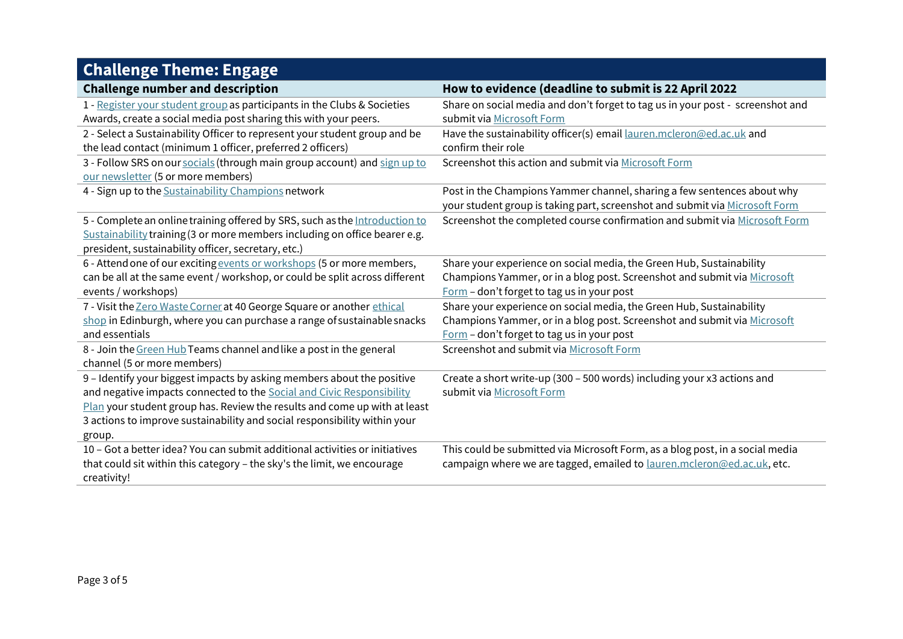| <b>Challenge Theme: Engage</b>                                              |                                                                                |
|-----------------------------------------------------------------------------|--------------------------------------------------------------------------------|
| <b>Challenge number and description</b>                                     | How to evidence (deadline to submit is 22 April 2022                           |
| 1 - Register your student group as participants in the Clubs & Societies    | Share on social media and don't forget to tag us in your post - screenshot and |
| Awards, create a social media post sharing this with your peers.            | submit via Microsoft Form                                                      |
| 2 - Select a Sustainability Officer to represent your student group and be  | Have the sustainability officer(s) email lauren.mcleron@ed.ac.uk and           |
| the lead contact (minimum 1 officer, preferred 2 officers)                  | confirm their role                                                             |
| 3 - Follow SRS on our socials (through main group account) and sign up to   | Screenshot this action and submit via Microsoft Form                           |
| our newsletter (5 or more members)                                          |                                                                                |
| 4 - Sign up to the Sustainability Champions network                         | Post in the Champions Yammer channel, sharing a few sentences about why        |
|                                                                             | your student group is taking part, screenshot and submit via Microsoft Form    |
| 5 - Complete an online training offered by SRS, such as the Introduction to | Screenshot the completed course confirmation and submit via Microsoft Form     |
| Sustainability training (3 or more members including on office bearer e.g.  |                                                                                |
| president, sustainability officer, secretary, etc.)                         |                                                                                |
| 6 - Attend one of our exciting events or workshops (5 or more members,      | Share your experience on social media, the Green Hub, Sustainability           |
| can be all at the same event / workshop, or could be split across different | Champions Yammer, or in a blog post. Screenshot and submit via Microsoft       |
| events / workshops)                                                         | Form - don't forget to tag us in your post                                     |
| 7 - Visit the Zero Waste Corner at 40 George Square or another ethical      | Share your experience on social media, the Green Hub, Sustainability           |
| shop in Edinburgh, where you can purchase a range of sustainable snacks     | Champions Yammer, or in a blog post. Screenshot and submit via Microsoft       |
| and essentials                                                              | Form - don't forget to tag us in your post                                     |
| 8 - Join the Green Hub Teams channel and like a post in the general         | Screenshot and submit via Microsoft Form                                       |
| channel (5 or more members)                                                 |                                                                                |
| 9 - Identify your biggest impacts by asking members about the positive      | Create a short write-up (300 - 500 words) including your x3 actions and        |
| and negative impacts connected to the Social and Civic Responsibility       | submit via Microsoft Form                                                      |
| Plan your student group has. Review the results and come up with at least   |                                                                                |
| 3 actions to improve sustainability and social responsibility within your   |                                                                                |
| group.                                                                      |                                                                                |
| 10 – Got a better idea? You can submit additional activities or initiatives | This could be submitted via Microsoft Form, as a blog post, in a social media  |
| that could sit within this category - the sky's the limit, we encourage     | campaign where we are tagged, emailed to lauren.mcleron@ed.ac.uk, etc.         |
| creativity!                                                                 |                                                                                |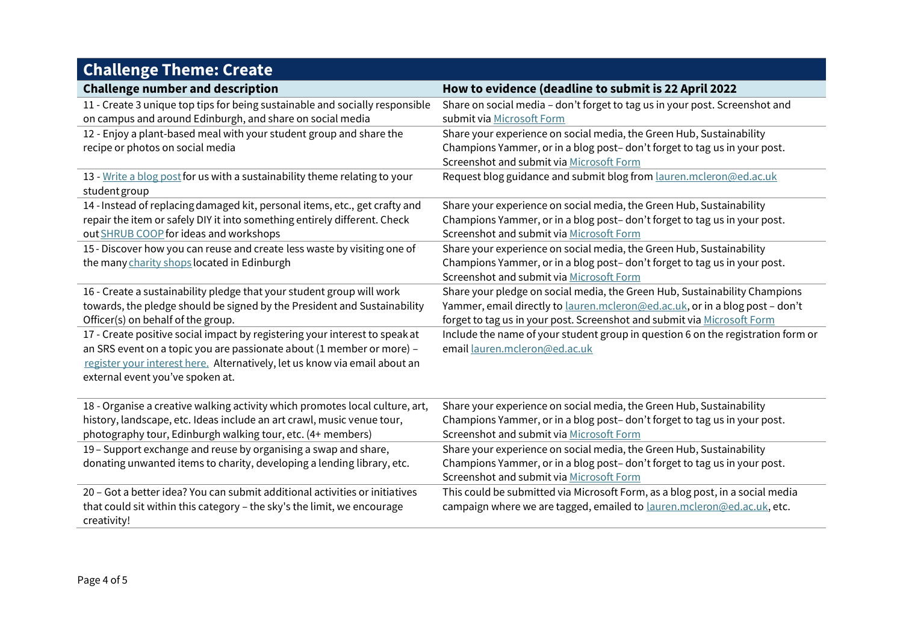## **Challenge Theme: Create**

| <b>Challenge number and description</b>                                      | How to evidence (deadline to submit is 22 April 2022                             |
|------------------------------------------------------------------------------|----------------------------------------------------------------------------------|
| 11 - Create 3 unique top tips for being sustainable and socially responsible | Share on social media - don't forget to tag us in your post. Screenshot and      |
| on campus and around Edinburgh, and share on social media                    | submit via Microsoft Form                                                        |
| 12 - Enjoy a plant-based meal with your student group and share the          | Share your experience on social media, the Green Hub, Sustainability             |
| recipe or photos on social media                                             | Champions Yammer, or in a blog post-don't forget to tag us in your post.         |
|                                                                              | Screenshot and submit via Microsoft Form                                         |
| 13 - Write a blog post for us with a sustainability theme relating to your   | Request blog guidance and submit blog from lauren.mcleron@ed.ac.uk               |
| student group                                                                |                                                                                  |
| 14 - Instead of replacing damaged kit, personal items, etc., get crafty and  | Share your experience on social media, the Green Hub, Sustainability             |
| repair the item or safely DIY it into something entirely different. Check    | Champions Yammer, or in a blog post- don't forget to tag us in your post.        |
| out SHRUB COOP for ideas and workshops                                       | Screenshot and submit via Microsoft Form                                         |
| 15 - Discover how you can reuse and create less waste by visiting one of     | Share your experience on social media, the Green Hub, Sustainability             |
| the many charity shops located in Edinburgh                                  | Champions Yammer, or in a blog post-don't forget to tag us in your post.         |
|                                                                              | Screenshot and submit via Microsoft Form                                         |
| 16 - Create a sustainability pledge that your student group will work        | Share your pledge on social media, the Green Hub, Sustainability Champions       |
| towards, the pledge should be signed by the President and Sustainability     | Yammer, email directly to lauren.mcleron@ed.ac.uk, or in a blog post - don't     |
| Officer(s) on behalf of the group.                                           | forget to tag us in your post. Screenshot and submit via Microsoft Form          |
| 17 - Create positive social impact by registering your interest to speak at  | Include the name of your student group in question 6 on the registration form or |
| an SRS event on a topic you are passionate about (1 member or more) -        | email lauren.mcleron@ed.ac.uk                                                    |
| register your interest here. Alternatively, let us know via email about an   |                                                                                  |
| external event you've spoken at.                                             |                                                                                  |
|                                                                              |                                                                                  |
| 18 - Organise a creative walking activity which promotes local culture, art, | Share your experience on social media, the Green Hub, Sustainability             |
| history, landscape, etc. Ideas include an art crawl, music venue tour,       | Champions Yammer, or in a blog post-don't forget to tag us in your post.         |
| photography tour, Edinburgh walking tour, etc. (4+ members)                  | Screenshot and submit via Microsoft Form                                         |
| 19 - Support exchange and reuse by organising a swap and share,              | Share your experience on social media, the Green Hub, Sustainability             |
| donating unwanted items to charity, developing a lending library, etc.       | Champions Yammer, or in a blog post-don't forget to tag us in your post.         |
|                                                                              | Screenshot and submit via Microsoft Form                                         |
| 20 - Got a better idea? You can submit additional activities or initiatives  | This could be submitted via Microsoft Form, as a blog post, in a social media    |
| that could sit within this category - the sky's the limit, we encourage      | campaign where we are tagged, emailed to lauren.mcleron@ed.ac.uk, etc.           |
| creativity!                                                                  |                                                                                  |